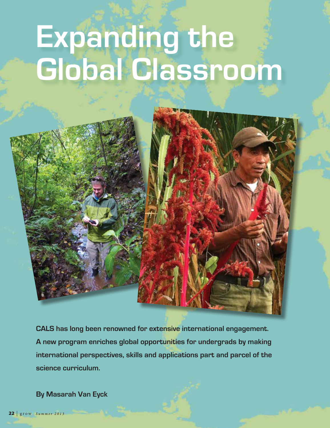# **Expanding the Global Classroom**



**CALS has long been renowned for extensive international engagement. A new program enriches global opportunities for undergrads by making international perspectives, skills and applications part and parcel of the science curriculum.**

**By Masarah Van Eyck**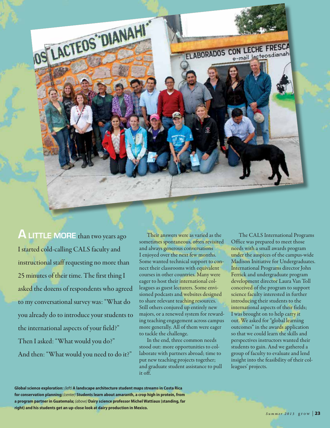

**ALITTLE MORE** than two years ago I started cold-calling CALS faculty and instructional staff requesting no more than 25 minutes of their time. The first thing I asked the dozens of respondents who agreed to my conversational survey was: "What do you already do to introduce your students to the international aspects of your field?" Then I asked: "What would you do?" And then: "What would you need to do it?"

Their answers were as varied as the sometimes spontaneous, often revisited and always generous conversations I enjoyed over the next few months. Some wanted technical support to connect their classrooms with equivalent courses in other countries. Many were eager to host their international colleagues as guest lecturers. Some envisioned podcasts and websites designed to share relevant teaching resources. Still others conjured up entirely new majors, or a renewed system for rewarding teaching engagement across campus more generally. All of them were eager to tackle the challenge.

In the end, three common needs stood out: more opportunities to collaborate with partners abroad; time to put new teaching projects together; and graduate student assistance to pull it off.

The CALS International Programs Office was prepared to meet those needs with a small awards program under the auspices of the campus-wide Madison Initiative for Undergraduates. International Programs director John Ferrick and undergraduate program development director Laura Van Toll conceived of the program to support science faculty interested in further introducing their students to the international aspects of their fields; I was brought on to help carry it out. We asked for "global learning outcomes" in the awards application so that we could learn the skills and perspectives instructors wanted their students to gain. And we gathered a group of faculty to evaluate and lend insight into the feasibility of their colleagues' projects.

**Global science exploration:** *(left)* **A landscape architecture student maps streams in Costa Rica for conservation planning;** *(center)* **Students learn about amaranth, a crop high in protein, from a program partner in Guatemala;** *(above)* **Dairy science professor Michel Wattiaux (standing, far right) and his students get an up-close look at dairy production in Mexico.**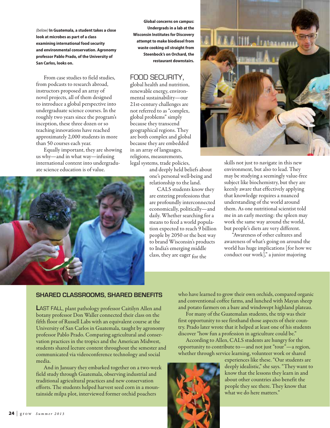*(below)* **In Guatemala, a student takes a close look at microbes as part of a class examining international food security and environmental conservation. Agronomy professor Pablo Prado, of the University of San Carlos, looks on.**

From case studies to field studies, from podcasts to research abroad, instructors proposed an array of novel projects, all of them designed to introduce a global perspective into undergraduate science courses. In the roughly two years since the program's inception, these three dozen or so teaching innovations have reached approximately 2,000 students in more than 50 courses each year.

Equally important, they are showing us why—and in what way—infusing international content into undergraduate science education is of value.



**Global concerns on campus: Undergrads in a lab at the Wisconsin Institutes for Discovery attempt to make biodiesel from waste cooking oil straight from Steenbock's on Orchard, the restaurant downstairs.**

## Food security,

global health and nutrition, renewable energy, environmental sustainability—our 21st-century challenges are not referred to as "complex, global problems" simply because they transcend geographical regions. They are both complex and global because they are embedded in an array of languages, religions, measurements, legal systems, trade policies,

and deeply held beliefs about one's personal well-being and relationship to the land.

CALS students know they are entering professions that are profoundly interconnected economically, politically—and daily. Whether searching for a means to feed a world population expected to reach 9 billion people by 2050 or the best way to brand Wisconsin's products to India's emerging middle class, they are eager for the



skills not just to navigate in this new environment, but also to lead. They may be studying a seemingly value-free subject like biochemistry, but they are keenly aware that effectively applying that knowledge requires a nuanced understanding of the world around them. As one nutritional scientist told me in an early meeting: the spleen may work the same way around the world, but people's diets are very different.

"Awareness of other cultures and awareness of what's going on around the world has huge implications [for how we conduct our work]," a junior majoring

#### **Shared Classrooms, Shared Benefits**

**L**ast fall, plant pathology professor Caitilyn Allen and botany professor Don Waller connected their class on the fifth floor of Russell Labs with an equivalent course at the University of San Carlos in Guatemala, taught by agronomy professor Pablo Prado. Comparing agricultural and conservation practices in the tropics and the American Midwest, students shared lecture content throughout the semester and communicated via videoconference technology and social media.

And in January they embarked together on a two-week field study through Guatemala, observing industrial and traditional agricultural practices and new conservation efforts. The students helped harvest seed corn in a mountainside milpa plot, interviewed former orchid poachers

who have learned to grow their own orchids, compared organic and conventional coffee farms, and lunched with Mayan sheep and potato farmers on a bare and windswept highland plateau.

For many of the Guatemalan students, the trip was their first opportunity to see firsthand those aspects of their country. Prado later wrote that it helped at least one of his students discover "how fun a profession in agriculture could be."

According to Allen, CALS students are hungry for the opportunity to contribute to—and not just "tour"—a region, whether through service learning, volunteer work or shared



experiences like these. "Our students are deeply idealistic," she says. "They want to know that the lessons they learn in and about other countries also benefit the people they see there. They know that what we do here matters."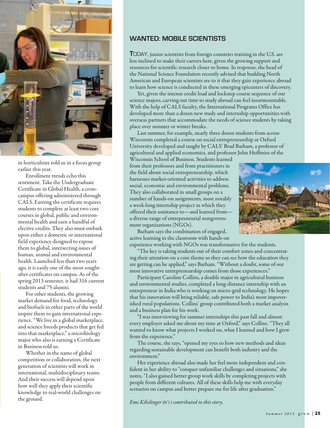

in horticulture told us in a focus group earlier this year.

Enrollment trends echo this sentiment. Take the Undergraduate Certificate in Global Health, a crosscampus offering administered through CALS. Earning the certificate requires students to complete at least two core courses in global, public and environmental health and earn a handful of elective credits. They also must embark upon either a domestic or international field experience designed to expose them to global, intersecting issues of human, animal and environmental health. Launched less than two years ago, it is easily one of the most soughtafter certificates on campus. As of the spring 2013 semester, it had 316 current students and 75 alumni.

For other students, the growing market demand for food, technology and biofuels in other parts of the world inspire them to gain international experience. "We live in a global marketplace, and science breeds products that get fed into that marketplace," a microbiology major who also is earning a Certificate in Business told us.

Whether in the name of global competition or collaboration, the next generation of scientists will work in international, multidisciplinary teams. And their success will depend upon how well they apply their scientific knowledge to real-world challenges on the ground.

### **Wanted: Mobile Scientists**

**TODAY**, junior scientists from foreign countries training in the U.S. are less inclined to make their careers here, given the growing support and resources for scientific research closer to home. In response, the head of the National Science Foundation recently advised that budding North American and European scientists see to it that they gain experience abroad to learn how science is conducted in these emerging epicenters of discovery.

Yet, given the intense credit load and lockstep course sequence of our science majors, carving out time to study abroad can feel insurmountable. With the help of CALS faculty, the International Programs Office has developed more than a dozen new study and internship opportunities with overseas partners that accommodate the needs of science students by taking place over summer or winter breaks.

Last summer, for example, nearly three dozen students from across Wisconsin completed a course on social entrepreneurship at Oxford University developed and taught by CALS' Brad Barham, a professor of agricultural and applied economics, and professor John Hoffmire of the

Wisconsin School of Business. Students learned from their professors and from practitioners in the field about social entrepreneurship, which harnesses market-oriented activities to address social, economic and environmental problems. They also collaborated in small groups on a number of hands-on assignments, most notably a week-long internship project in which they offered their assistance to—and learned from a diverse range of entrepreneurial nongovernment organizations (NGOs).



Barham says the combination of engaged, active learning in the classroom with hands-on experience working with NGOs was transformative for the students.

The key is taking students out of their comfort zones and concentrating their attention on a core theme so they can see how the education they are getting can be applied," says Barham. "Without a doubt, some of our most innovative entrepreneurship comes from those experiences."

Participant Caroline Collins, a double major in agricultural business and environmental studies, completed a long-distance internship with an entrepreneur in India who is working on micro-grid technology. He hopes that his innovation will bring reliable, safe power to India's most impoverished rural populations. Collins' group contributed both a market analysis and a business plan for his work.

"I was interviewing for summer internships this past fall and almost every employer asked me about my time at Oxford," says Collins. "They all wanted to know what projects I worked on, what I learned and how I grew from the experience."

The course, she says, "opened my eyes to how new methods and ideas regarding sustainable development can benefit both industry and the environment."

Her experience abroad also made her feel more independent and confident in her ability to "conquer unfamiliar challenges and situations," she notes. "I also gained better group work skills by completing projects with people from different cultures. All of these skills help me with everyday scenarios on campus and better prepare me for life after graduation."

*Emi Kihslinger BS'13 contributed to this story.*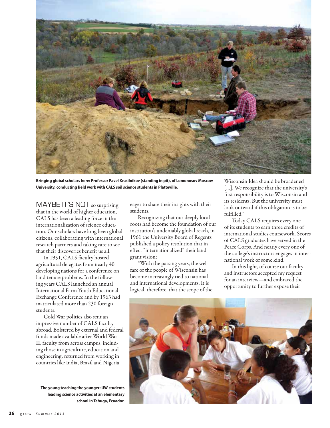

**Bringing global scholars here: Professor Pavel Krasilnikov (standing in pit), of Lomonosov Moscow University, conducting field work with CALS soil science students in Platteville.**

MAYBE IT'S NOT so surprising that in the world of higher education, CALS has been a leading force in the internationalization of science education. Our scholars have long been global citizens, collaborating with international research partners and taking care to see that their discoveries benefit us all.

In 1951, CALS faculty hosted agricultural delegates from nearly 40 developing nations for a conference on land tenure problems. In the following years CALS launched an annual International Farm Youth Educational Exchange Conference and by 1963 had matriculated more than 230 foreign students.

Cold War politics also sent an impressive number of CALS faculty abroad. Bolstered by external and federal funds made available after World War II, faculty from across campus, including those in agriculture, education and engineering, returned from working in countries like India, Brazil and Nigeria

**The young teaching the younger: UW students leading science activities at an elementary school in Tabuga, Ecuador.** eager to share their insights with their students.

Recognizing that our deeply local roots had become the foundation of our institution's undeniably global reach, in 1961 the University Board of Regents published a policy resolution that in effect "internationalized" their land grant vision:

"With the passing years, the welfare of the people of Wisconsin has become increasingly tied to national and international developments. It is logical, therefore, that the scope of the

Wisconsin Idea should be broadened [...]. We recognize that the university's first responsibility is to Wisconsin and its residents. But the university must look outward if this obligation is to be fulfilled."

Today CALS requires every one of its students to earn three credits of international studies coursework. Scores of CALS graduates have served in the Peace Corps. And nearly every one of the college's instructors engages in international work of some kind.

In this light, of course our faculty and instructors accepted my request for an interview—and embraced the opportunity to further expose their